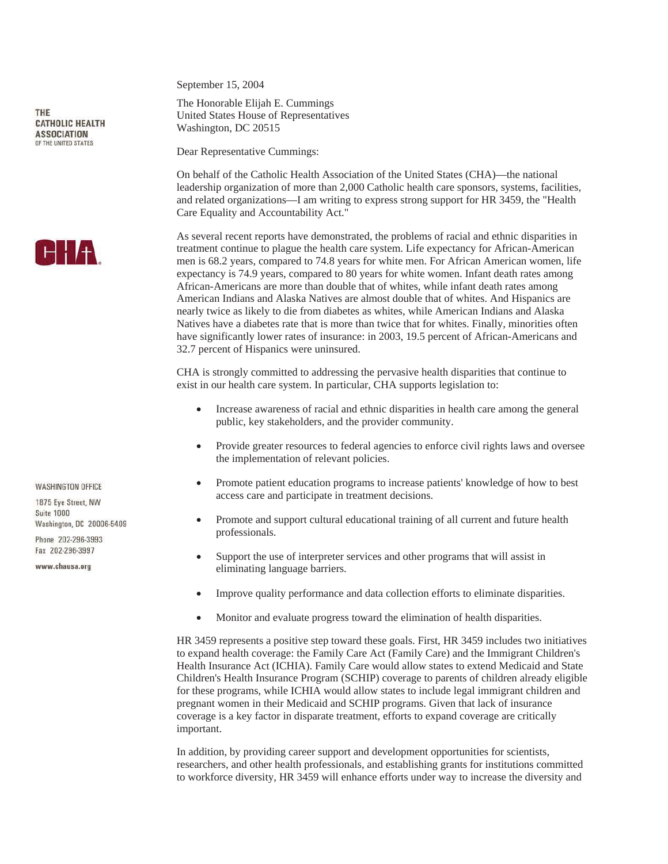THE **CATHOLIC HEALTH ASSOCIATION** OF THE UNITED STATES



**WASHINGTON OFFICE** 

1875 Eve Street NW Suite 1000 Washington, DC 20006-5409

Phone 202-296-3993 Fax 202-296-3997

www.chausa.org

September 15, 2004

The Honorable Elijah E. Cummings United States House of Representatives Washington, DC 20515

Dear Representative Cummings:

On behalf of the Catholic Health Association of the United States (CHA)—the national leadership organization of more than 2,000 Catholic health care sponsors, systems, facilities, and related organizations—I am writing to express strong support for HR 3459, the "Health Care Equality and Accountability Act."

As several recent reports have demonstrated, the problems of racial and ethnic disparities in treatment continue to plague the health care system. Life expectancy for African-American men is 68.2 years, compared to 74.8 years for white men. For African American women, life expectancy is 74.9 years, compared to 80 years for white women. Infant death rates among African-Americans are more than double that of whites, while infant death rates among American Indians and Alaska Natives are almost double that of whites. And Hispanics are nearly twice as likely to die from diabetes as whites, while American Indians and Alaska Natives have a diabetes rate that is more than twice that for whites. Finally, minorities often have significantly lower rates of insurance: in 2003, 19.5 percent of African-Americans and 32.7 percent of Hispanics were uninsured.

CHA is strongly committed to addressing the pervasive health disparities that continue to exist in our health care system. In particular, CHA supports legislation to:

- Increase awareness of racial and ethnic disparities in health care among the general public, key stakeholders, and the provider community.
- Provide greater resources to federal agencies to enforce civil rights laws and oversee the implementation of relevant policies.
- Promote patient education programs to increase patients' knowledge of how to best access care and participate in treatment decisions.
- Promote and support cultural educational training of all current and future health professionals.
- Support the use of interpreter services and other programs that will assist in eliminating language barriers.
- Improve quality performance and data collection efforts to eliminate disparities.
- Monitor and evaluate progress toward the elimination of health disparities.

HR 3459 represents a positive step toward these goals. First, HR 3459 includes two initiatives to expand health coverage: the Family Care Act (Family Care) and the Immigrant Children's Health Insurance Act (ICHIA). Family Care would allow states to extend Medicaid and State Children's Health Insurance Program (SCHIP) coverage to parents of children already eligible for these programs, while ICHIA would allow states to include legal immigrant children and pregnant women in their Medicaid and SCHIP programs. Given that lack of insurance coverage is a key factor in disparate treatment, efforts to expand coverage are critically important.

In addition, by providing career support and development opportunities for scientists, researchers, and other health professionals, and establishing grants for institutions committed to workforce diversity, HR 3459 will enhance efforts under way to increase the diversity and